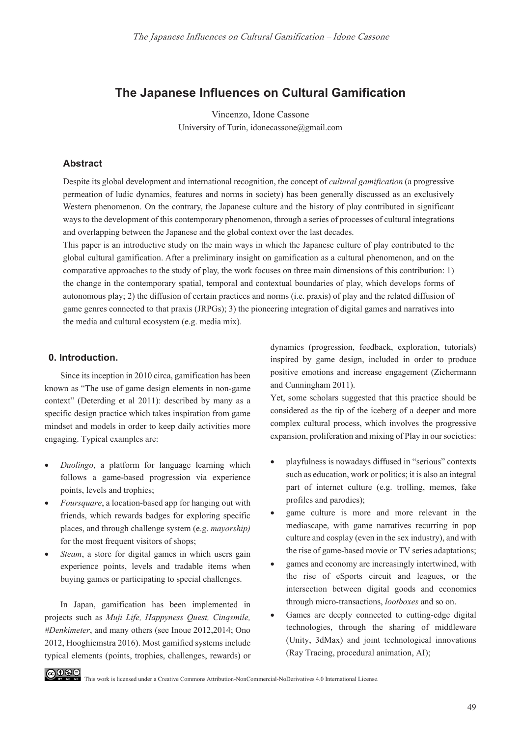# **The Japanese Influences on Cultural Gamification**

Vincenzo, Idone Cassone University of Turin, idonecassone@gmail.com

### **Abstract**

Despite its global development and international recognition, the concept of *cultural gamification* (a progressive permeation of ludic dynamics, features and norms in society) has been generally discussed as an exclusively Western phenomenon. On the contrary, the Japanese culture and the history of play contributed in significant ways to the development of this contemporary phenomenon, through a series of processes of cultural integrations and overlapping between the Japanese and the global context over the last decades.

This paper is an introductive study on the main ways in which the Japanese culture of play contributed to the global cultural gamification. After a preliminary insight on gamification as a cultural phenomenon, and on the comparative approaches to the study of play, the work focuses on three main dimensions of this contribution: 1) the change in the contemporary spatial, temporal and contextual boundaries of play, which develops forms of autonomous play; 2) the diffusion of certain practices and norms (i.e. praxis) of play and the related diffusion of game genres connected to that praxis (JRPGs); 3) the pioneering integration of digital games and narratives into the media and cultural ecosystem (e.g. media mix).

#### **0. Introduction.**

Since its inception in 2010 circa, gamification has been known as "The use of game design elements in non-game context" (Deterding et al 2011): described by many as a specific design practice which takes inspiration from game mindset and models in order to keep daily activities more engaging. Typical examples are:

- *Duolingo*, a platform for language learning which follows a game-based progression via experience points, levels and trophies;
- *Foursquare*, a location-based app for hanging out with friends, which rewards badges for exploring specific places, and through challenge system (e.g. *mayorship)* for the most frequent visitors of shops;
- *Steam*, a store for digital games in which users gain experience points, levels and tradable items when buying games or participating to special challenges.

In Japan, gamification has been implemented in projects such as *Muji Life, Happyness Quest, Cinqsmile, #Denkimeter*, and many others (see Inoue 2012,2014; Ono 2012, Hooghiemstra 2016). Most gamified systems include typical elements (points, trophies, challenges, rewards) or

dynamics (progression, feedback, exploration, tutorials) inspired by game design, included in order to produce positive emotions and increase engagement (Zichermann and Cunningham 2011).

Yet, some scholars suggested that this practice should be considered as the tip of the iceberg of a deeper and more complex cultural process, which involves the progressive expansion, proliferation and mixing of Play in our societies:

- playfulness is nowadays diffused in "serious" contexts such as education, work or politics; it is also an integral part of internet culture (e.g. trolling, memes, fake profiles and parodies);
- game culture is more and more relevant in the mediascape, with game narratives recurring in pop culture and cosplay (even in the sex industry), and with the rise of game-based movie or TV series adaptations;
- games and economy are increasingly intertwined, with the rise of eSports circuit and leagues, or the intersection between digital goods and economics through micro-transactions, *lootboxes* and so on.
- Games are deeply connected to cutting-edge digital technologies, through the sharing of middleware (Unity, 3dMax) and joint technological innovations (Ray Tracing, procedural animation, AI);



GOSS This work is licensed under a Creative Commons Attribution-NonCommercial-NoDerivatives 4.0 International License.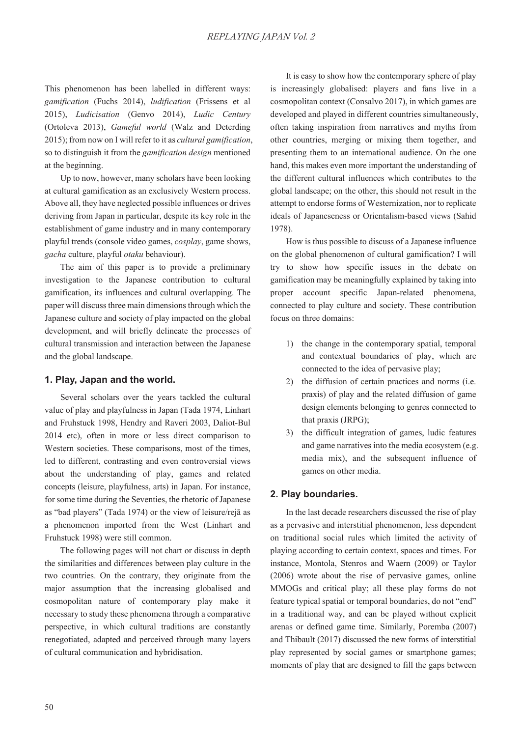This phenomenon has been labelled in different ways: *gamification* (Fuchs 2014), *ludification* (Frissens et al 2015), *Ludicisation* (Genvo 2014), *Ludic Century* (Ortoleva 2013), *Gameful world* (Walz and Deterding 2015); from now on I will refer to it as *cultural gamification*, so to distinguish it from the *gamification design* mentioned at the beginning.

Up to now, however, many scholars have been looking at cultural gamification as an exclusively Western process. Above all, they have neglected possible influences or drives deriving from Japan in particular, despite its key role in the establishment of game industry and in many contemporary playful trends (console video games, *cosplay*, game shows, *gacha* culture, playful *otaku* behaviour).

The aim of this paper is to provide a preliminary investigation to the Japanese contribution to cultural gamification, its influences and cultural overlapping. The paper will discuss three main dimensions through which the Japanese culture and society of play impacted on the global development, and will briefly delineate the processes of cultural transmission and interaction between the Japanese and the global landscape.

### **1. Play, Japan and the world.**

Several scholars over the years tackled the cultural value of play and playfulness in Japan (Tada 1974, Linhart and Fruhstuck 1998, Hendry and Raveri 2003, Daliot-Bul 2014 etc), often in more or less direct comparison to Western societies. These comparisons, most of the times, led to different, contrasting and even controversial views about the understanding of play, games and related concepts (leisure, playfulness, arts) in Japan. For instance, for some time during the Seventies, the rhetoric of Japanese as "bad players" (Tada 1974) or the view of leisure/reja as a phenomenon imported from the West (Linhart and Fruhstuck 1998) were still common.

The following pages will not chart or discuss in depth the similarities and differences between play culture in the two countries. On the contrary, they originate from the major assumption that the increasing globalised and cosmopolitan nature of contemporary play make it necessary to study these phenomena through a comparative perspective, in which cultural traditions are constantly renegotiated, adapted and perceived through many layers of cultural communication and hybridisation.

It is easy to show how the contemporary sphere of play is increasingly globalised: players and fans live in a cosmopolitan context (Consalvo 2017), in which games are developed and played in different countries simultaneously, often taking inspiration from narratives and myths from other countries, merging or mixing them together, and presenting them to an international audience. On the one hand, this makes even more important the understanding of the different cultural influences which contributes to the global landscape; on the other, this should not result in the attempt to endorse forms of Westernization, nor to replicate ideals of Japaneseness or Orientalism-based views (Sahid 1978).

How is thus possible to discuss of a Japanese influence on the global phenomenon of cultural gamification? I will try to show how specific issues in the debate on gamification may be meaningfully explained by taking into proper account specific Japan-related phenomena, connected to play culture and society. These contribution focus on three domains:

- 1) the change in the contemporary spatial, temporal and contextual boundaries of play, which are connected to the idea of pervasive play;
- 2) the diffusion of certain practices and norms (i.e. praxis) of play and the related diffusion of game design elements belonging to genres connected to that praxis (JRPG);
- 3) the difficult integration of games, ludic features and game narratives into the media ecosystem (e.g. media mix), and the subsequent influence of games on other media.

### **2. Play boundaries.**

In the last decade researchers discussed the rise of play as a pervasive and interstitial phenomenon, less dependent on traditional social rules which limited the activity of playing according to certain context, spaces and times. For instance, Montola, Stenros and Waern (2009) or Taylor (2006) wrote about the rise of pervasive games, online MMOGs and critical play; all these play forms do not feature typical spatial or temporal boundaries, do not "end" in a traditional way, and can be played without explicit arenas or defined game time. Similarly, Poremba (2007) and Thibault (2017) discussed the new forms of interstitial play represented by social games or smartphone games; moments of play that are designed to fill the gaps between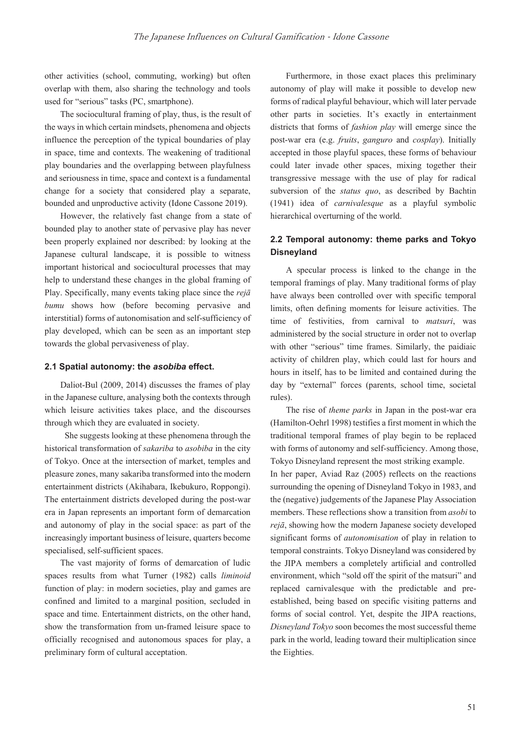other activities (school, commuting, working) but often overlap with them, also sharing the technology and tools used for "serious" tasks (PC, smartphone).

The sociocultural framing of play, thus, is the result of the ways in which certain mindsets, phenomena and objects influence the perception of the typical boundaries of play in space, time and contexts. The weakening of traditional play boundaries and the overlapping between playfulness and seriousness in time, space and context is a fundamental change for a society that considered play a separate, bounded and unproductive activity (Idone Cassone 2019).

However, the relatively fast change from a state of bounded play to another state of pervasive play has never been properly explained nor described: by looking at the Japanese cultural landscape, it is possible to witness important historical and sociocultural processes that may help to understand these changes in the global framing of Play. Specifically, many events taking place since the *reja bumu* shows how (before becoming pervasive and interstitial) forms of autonomisation and self-sufficiency of play developed, which can be seen as an important step towards the global pervasiveness of play.

#### **2.1 Spatial autonomy: the** *asobiba* **effect.**

Daliot-Bul (2009, 2014) discusses the frames of play in the Japanese culture, analysing both the contexts through which leisure activities takes place, and the discourses through which they are evaluated in society.

 She suggests looking at these phenomena through the historical transformation of *sakariba* to *asobiba* in the city of Tokyo. Once at the intersection of market, temples and pleasure zones, many sakariba transformed into the modern entertainment districts (Akihabara, Ikebukuro, Roppongi). The entertainment districts developed during the post-war era in Japan represents an important form of demarcation and autonomy of play in the social space: as part of the increasingly important business of leisure, quarters become specialised, self-sufficient spaces.

The vast majority of forms of demarcation of ludic spaces results from what Turner (1982) calls *liminoid* function of play: in modern societies, play and games are confined and limited to a marginal position, secluded in space and time. Entertainment districts, on the other hand, show the transformation from un-framed leisure space to officially recognised and autonomous spaces for play, a preliminary form of cultural acceptation.

Furthermore, in those exact places this preliminary autonomy of play will make it possible to develop new forms of radical playful behaviour, which will later pervade other parts in societies. It's exactly in entertainment districts that forms of *fashion play* will emerge since the post-war era (e.g. *fruits*, *ganguro* and *cosplay*). Initially accepted in those playful spaces, these forms of behaviour could later invade other spaces, mixing together their transgressive message with the use of play for radical subversion of the *status quo*, as described by Bachtin (1941) idea of *carnivalesque* as a playful symbolic hierarchical overturning of the world.

## **2.2 Temporal autonomy: theme parks and Tokyo Disneyland**

A specular process is linked to the change in the temporal framings of play. Many traditional forms of play have always been controlled over with specific temporal limits, often defining moments for leisure activities. The time of festivities, from carnival to *matsuri*, was administered by the social structure in order not to overlap with other "serious" time frames. Similarly, the paidiaic activity of children play, which could last for hours and hours in itself, has to be limited and contained during the day by "external" forces (parents, school time, societal rules).

The rise of *theme parks* in Japan in the post-war era (Hamilton-Oehrl 1998) testifies a first moment in which the traditional temporal frames of play begin to be replaced with forms of autonomy and self-sufficiency. Among those, Tokyo Disneyland represent the most striking example.

In her paper, Aviad Raz (2005) reflects on the reactions surrounding the opening of Disneyland Tokyo in 1983, and the (negative) judgements of the Japanese Play Association members. These reflections show a transition from *asobi* to *rejā*, showing how the modern Japanese society developed significant forms of *autonomisation* of play in relation to temporal constraints. Tokyo Disneyland was considered by the JIPA members a completely artificial and controlled environment, which "sold off the spirit of the matsuri" and replaced carnivalesque with the predictable and preestablished, being based on specific visiting patterns and forms of social control. Yet, despite the JIPA reactions, *Disneyland Tokyo* soon becomes the most successful theme park in the world, leading toward their multiplication since the Eighties.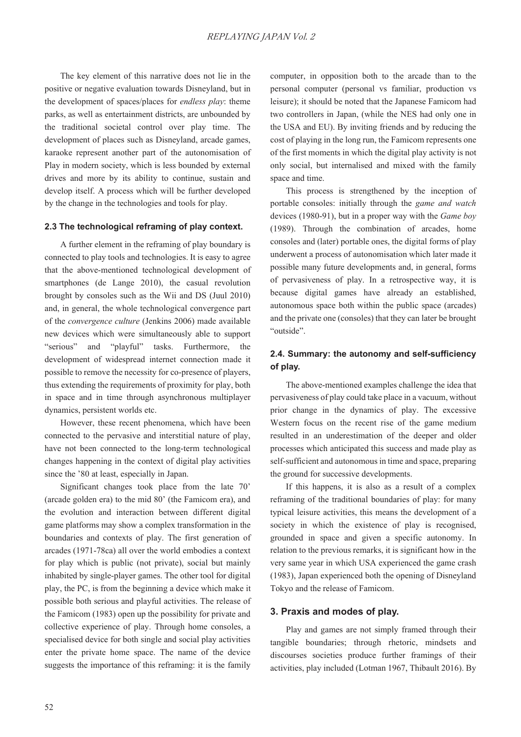The key element of this narrative does not lie in the positive or negative evaluation towards Disneyland, but in the development of spaces/places for *endless play*: theme parks, as well as entertainment districts, are unbounded by the traditional societal control over play time. The development of places such as Disneyland, arcade games, karaoke represent another part of the autonomisation of Play in modern society, which is less bounded by external drives and more by its ability to continue, sustain and develop itself. A process which will be further developed by the change in the technologies and tools for play.

#### **2.3 The technological reframing of play context.**

A further element in the reframing of play boundary is connected to play tools and technologies. It is easy to agree that the above-mentioned technological development of smartphones (de Lange 2010), the casual revolution brought by consoles such as the Wii and DS (Juul 2010) and, in general, the whole technological convergence part of the *convergence culture* (Jenkins 2006) made available new devices which were simultaneously able to support "serious" and "playful" tasks. Furthermore, the development of widespread internet connection made it possible to remove the necessity for co-presence of players, thus extending the requirements of proximity for play, both in space and in time through asynchronous multiplayer dynamics, persistent worlds etc.

However, these recent phenomena, which have been connected to the pervasive and interstitial nature of play, have not been connected to the long-term technological changes happening in the context of digital play activities since the '80 at least, especially in Japan.

Significant changes took place from the late 70' (arcade golden era) to the mid 80' (the Famicom era), and the evolution and interaction between different digital game platforms may show a complex transformation in the boundaries and contexts of play. The first generation of arcades (1971-78ca) all over the world embodies a context for play which is public (not private), social but mainly inhabited by single-player games. The other tool for digital play, the PC, is from the beginning a device which make it possible both serious and playful activities. The release of the Famicom (1983) open up the possibility for private and collective experience of play. Through home consoles, a specialised device for both single and social play activities enter the private home space. The name of the device suggests the importance of this reframing: it is the family computer, in opposition both to the arcade than to the personal computer (personal vs familiar, production vs leisure); it should be noted that the Japanese Famicom had two controllers in Japan, (while the NES had only one in the USA and EU). By inviting friends and by reducing the cost of playing in the long run, the Famicom represents one of the first moments in which the digital play activity is not only social, but internalised and mixed with the family space and time.

This process is strengthened by the inception of portable consoles: initially through the *game and watch* devices (1980-91), but in a proper way with the *Game boy* (1989). Through the combination of arcades, home consoles and (later) portable ones, the digital forms of play underwent a process of autonomisation which later made it possible many future developments and, in general, forms of pervasiveness of play. In a retrospective way, it is because digital games have already an established, autonomous space both within the public space (arcades) and the private one (consoles) that they can later be brought "outside".

### **2.4. Summary: the autonomy and self-sufficiency of play.**

The above-mentioned examples challenge the idea that pervasiveness of play could take place in a vacuum, without prior change in the dynamics of play. The excessive Western focus on the recent rise of the game medium resulted in an underestimation of the deeper and older processes which anticipated this success and made play as self-sufficient and autonomous in time and space, preparing the ground for successive developments.

If this happens, it is also as a result of a complex reframing of the traditional boundaries of play: for many typical leisure activities, this means the development of a society in which the existence of play is recognised, grounded in space and given a specific autonomy. In relation to the previous remarks, it is significant how in the very same year in which USA experienced the game crash (1983), Japan experienced both the opening of Disneyland Tokyo and the release of Famicom.

#### **3. Praxis and modes of play.**

Play and games are not simply framed through their tangible boundaries; through rhetoric, mindsets and discourses societies produce further framings of their activities, play included (Lotman 1967, Thibault 2016). By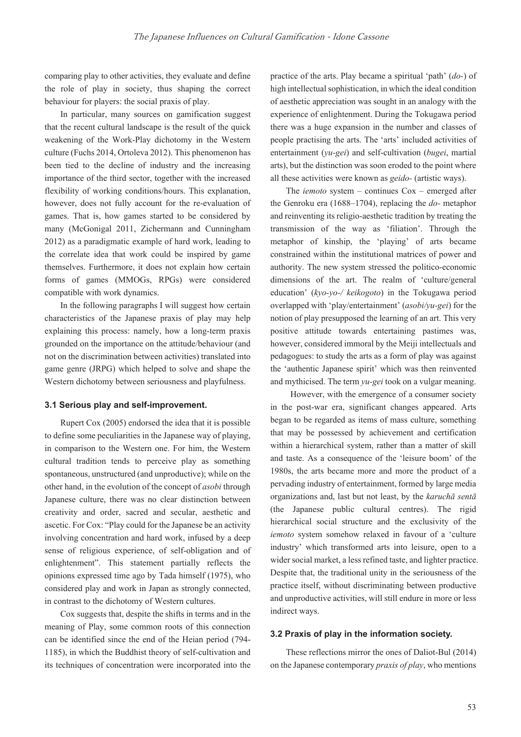comparing play to other activities, they evaluate and define the role of play in society, thus shaping the correct behaviour for players: the social praxis of play.

In particular, many sources on gamification suggest that the recent cultural landscape is the result of the quick weakening of the Work-Play dichotomy in the Western culture (Fuchs 2014, Ortoleva 2012). This phenomenon has been tied to the decline of industry and the increasing importance of the third sector, together with the increased flexibility of working conditions/hours. This explanation, however, does not fully account for the re-evaluation of games. That is, how games started to be considered by many (McGonigal 2011, Zichermann and Cunningham 2012) as a paradigmatic example of hard work, leading to the correlate idea that work could be inspired by game themselves. Furthermore, it does not explain how certain forms of games (MMOGs, RPGs) were considered compatible with work dynamics.

In the following paragraphs I will suggest how certain characteristics of the Japanese praxis of play may help explaining this process: namely, how a long-term praxis grounded on the importance on the attitude/behaviour (and not on the discrimination between activities) translated into game genre (JRPG) which helped to solve and shape the Western dichotomy between seriousness and playfulness.

#### **3.1 Serious play and self-improvement.**

Rupert Cox (2005) endorsed the idea that it is possible to define some peculiarities in the Japanese way of playing, in comparison to the Western one. For him, the Western cultural tradition tends to perceive play as something spontaneous, unstructured (and unproductive); while on the other hand, in the evolution of the concept of *asobi* through Japanese culture, there was no clear distinction between creativity and order, sacred and secular, aesthetic and ascetic. For Cox: "Play could for the Japanese be an activity involving concentration and hard work, infused by a deep sense of religious experience, of self-obligation and of enlightenment". This statement partially reflects the opinions expressed time ago by Tada himself (1975), who considered play and work in Japan as strongly connected, in contrast to the dichotomy of Western cultures.

Cox suggests that, despite the shifts in terms and in the meaning of Play, some common roots of this connection can be identified since the end of the Heian period (794- 1185), in which the Buddhist theory of self-cultivation and its techniques of concentration were incorporated into the practice of the arts. Play became a spiritual 'path' (*do-*) of high intellectual sophistication, in which the ideal condition of aesthetic appreciation was sought in an analogy with the experience of enlightenment. During the Tokugawa period there was a huge expansion in the number and classes of people practising the arts. The 'arts' included activities of entertainment (*yu-gei*) and self-cultivation (*bugei*, martial arts), but the distinction was soon eroded to the point where all these activities were known as *geido-* (artistic ways).

The *iemoto* system – continues Cox – emerged after the Genroku era (1688–1704), replacing the *do-* metaphor and reinventing its religio-aesthetic tradition by treating the transmission of the way as 'filiation'. Through the metaphor of kinship, the 'playing' of arts became constrained within the institutional matrices of power and authority. The new system stressed the politico-economic dimensions of the art. The realm of 'culture/general education' (*kyo-yo-/ keikogoto*) in the Tokugawa period overlapped with 'play/entertainment' (*asobi/yu-gei*) for the notion of play presupposed the learning of an art. This very positive attitude towards entertaining pastimes was, however, considered immoral by the Meiji intellectuals and pedagogues: to study the arts as a form of play was against the 'authentic Japanese spirit' which was then reinvented and mythicised. The term *yu-gei* took on a vulgar meaning.

 However, with the emergence of a consumer society in the post-war era, significant changes appeared. Arts began to be regarded as items of mass culture, something that may be possessed by achievement and certification within a hierarchical system, rather than a matter of skill and taste. As a consequence of the 'leisure boom' of the 1980s, the arts became more and more the product of a pervading industry of entertainment, formed by large media organizations and, last but not least, by the *karuchā sentā* (the Japanese public cultural centres). The rigid hierarchical social structure and the exclusivity of the *iemoto* system somehow relaxed in favour of a 'culture industry' which transformed arts into leisure, open to a wider social market, a less refined taste, and lighter practice. Despite that, the traditional unity in the seriousness of the practice itself, without discriminating between productive and unproductive activities, will still endure in more or less indirect ways.

#### **3.2 Praxis of play in the information society.**

These reflections mirror the ones of Daliot-Bul (2014) on the Japanese contemporary *praxis of play*, who mentions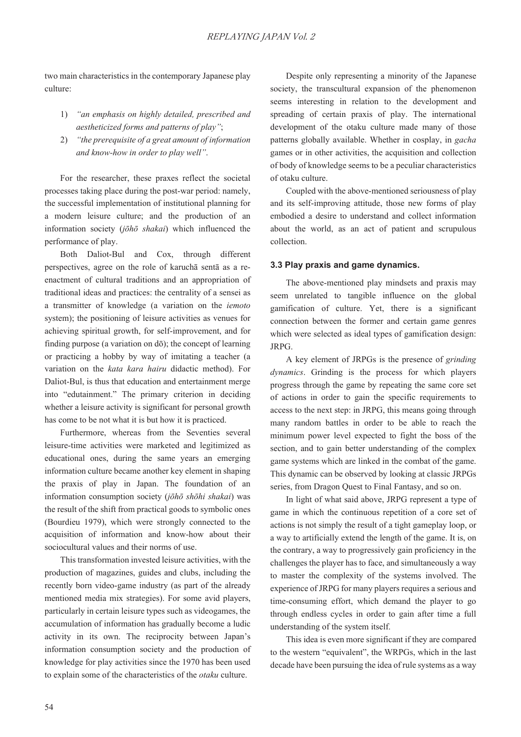two main characteristics in the contemporary Japanese play culture:

- 1) *"an emphasis on highly detailed, prescribed and aestheticized forms and patterns of play"*;
- 2) *"the prerequisite of a great amount of information and know-how in order to play well"*.

For the researcher, these praxes reflect the societal processes taking place during the post-war period: namely, the successful implementation of institutional planning for a modern leisure culture; and the production of an information society (*jōhō shakai*) which influenced the performance of play.

Both Daliot-Bul and Cox, through different perspectives, agree on the role of karucha senta as a reenactment of cultural traditions and an appropriation of traditional ideas and practices: the centrality of a sensei as a transmitter of knowledge (a variation on the *iemoto* system); the positioning of leisure activities as venues for achieving spiritual growth, for self-improvement, and for finding purpose (a variation on  $d\bar{o}$ ); the concept of learning or practicing a hobby by way of imitating a teacher (a variation on the *kata kara hairu* didactic method). For Daliot-Bul, is thus that education and entertainment merge into "edutainment." The primary criterion in deciding whether a leisure activity is significant for personal growth has come to be not what it is but how it is practiced.

Furthermore, whereas from the Seventies several leisure-time activities were marketed and legitimized as educational ones, during the same years an emerging information culture became another key element in shaping the praxis of play in Japan. The foundation of an information consumption society (*jōhō shōhi shakai*) was the result of the shift from practical goods to symbolic ones (Bourdieu 1979), which were strongly connected to the acquisition of information and know-how about their sociocultural values and their norms of use.

This transformation invested leisure activities, with the production of magazines, guides and clubs, including the recently born video-game industry (as part of the already mentioned media mix strategies). For some avid players, particularly in certain leisure types such as videogames, the accumulation of information has gradually become a ludic activity in its own. The reciprocity between Japan's information consumption society and the production of knowledge for play activities since the 1970 has been used to explain some of the characteristics of the *otaku* culture.

Despite only representing a minority of the Japanese society, the transcultural expansion of the phenomenon seems interesting in relation to the development and spreading of certain praxis of play. The international development of the otaku culture made many of those patterns globally available. Whether in cosplay, in *gacha* games or in other activities, the acquisition and collection of body of knowledge seems to be a peculiar characteristics of otaku culture.

Coupled with the above-mentioned seriousness of play and its self-improving attitude, those new forms of play embodied a desire to understand and collect information about the world, as an act of patient and scrupulous collection.

#### **3.3 Play praxis and game dynamics.**

The above-mentioned play mindsets and praxis may seem unrelated to tangible influence on the global gamification of culture. Yet, there is a significant connection between the former and certain game genres which were selected as ideal types of gamification design: JRPG.

A key element of JRPGs is the presence of *grinding dynamics*. Grinding is the process for which players progress through the game by repeating the same core set of actions in order to gain the specific requirements to access to the next step: in JRPG, this means going through many random battles in order to be able to reach the minimum power level expected to fight the boss of the section, and to gain better understanding of the complex game systems which are linked in the combat of the game. This dynamic can be observed by looking at classic JRPGs series, from Dragon Quest to Final Fantasy, and so on.

In light of what said above, JRPG represent a type of game in which the continuous repetition of a core set of actions is not simply the result of a tight gameplay loop, or a way to artificially extend the length of the game. It is, on the contrary, a way to progressively gain proficiency in the challenges the player has to face, and simultaneously a way to master the complexity of the systems involved. The experience of JRPG for many players requires a serious and time-consuming effort, which demand the player to go through endless cycles in order to gain after time a full understanding of the system itself.

This idea is even more significant if they are compared to the western "equivalent", the WRPGs, which in the last decade have been pursuing the idea of rule systems as a way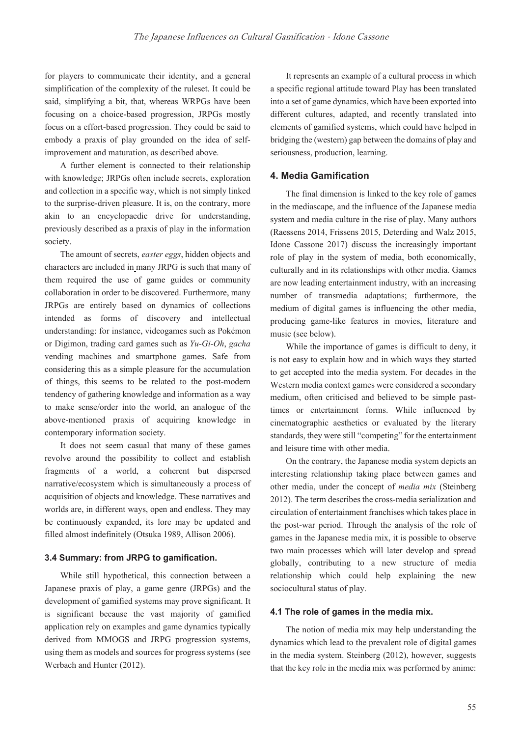for players to communicate their identity, and a general simplification of the complexity of the ruleset. It could be said, simplifying a bit, that, whereas WRPGs have been focusing on a choice-based progression, JRPGs mostly focus on a effort-based progression. They could be said to embody a praxis of play grounded on the idea of selfimprovement and maturation, as described above.

A further element is connected to their relationship with knowledge; JRPGs often include secrets, exploration and collection in a specific way, which is not simply linked to the surprise-driven pleasure. It is, on the contrary, more akin to an encyclopaedic drive for understanding, previously described as a praxis of play in the information society.

The amount of secrets, *easter eggs*, hidden objects and characters are included in many JRPG is such that many of them required the use of game guides or community collaboration in order to be discovered. Furthermore, many JRPGs are entirely based on dynamics of collections intended as forms of discovery and intellectual understanding: for instance, videogames such as Pokémon or Digimon, trading card games such as *Yu-Gi-Oh*, *gacha* vending machines and smartphone games. Safe from considering this as a simple pleasure for the accumulation of things, this seems to be related to the post-modern tendency of gathering knowledge and information as a way to make sense/order into the world, an analogue of the above-mentioned praxis of acquiring knowledge in contemporary information society.

It does not seem casual that many of these games revolve around the possibility to collect and establish fragments of a world, a coherent but dispersed narrative/ecosystem which is simultaneously a process of acquisition of objects and knowledge. These narratives and worlds are, in different ways, open and endless. They may be continuously expanded, its lore may be updated and filled almost indefinitely (Otsuka 1989, Allison 2006).

#### **3.4 Summary: from JRPG to gamification.**

While still hypothetical, this connection between a Japanese praxis of play, a game genre (JRPGs) and the development of gamified systems may prove significant. It is significant because the vast majority of gamified application rely on examples and game dynamics typically derived from MMOGS and JRPG progression systems, using them as models and sources for progress systems (see Werbach and Hunter (2012).

It represents an example of a cultural process in which a specific regional attitude toward Play has been translated into a set of game dynamics, which have been exported into different cultures, adapted, and recently translated into elements of gamified systems, which could have helped in bridging the (western) gap between the domains of play and seriousness, production, learning.

### **4. Media Gamification**

The final dimension is linked to the key role of games in the mediascape, and the influence of the Japanese media system and media culture in the rise of play. Many authors (Raessens 2014, Frissens 2015, Deterding and Walz 2015, Idone Cassone 2017) discuss the increasingly important role of play in the system of media, both economically, culturally and in its relationships with other media. Games are now leading entertainment industry, with an increasing number of transmedia adaptations; furthermore, the medium of digital games is influencing the other media, producing game-like features in movies, literature and music (see below).

While the importance of games is difficult to deny, it is not easy to explain how and in which ways they started to get accepted into the media system. For decades in the Western media context games were considered a secondary medium, often criticised and believed to be simple pasttimes or entertainment forms. While influenced by cinematographic aesthetics or evaluated by the literary standards, they were still "competing" for the entertainment and leisure time with other media.

On the contrary, the Japanese media system depicts an interesting relationship taking place between games and other media, under the concept of *media mix* (Steinberg 2012). The term describes the cross-media serialization and circulation of entertainment franchises which takes place in the post-war period. Through the analysis of the role of games in the Japanese media mix, it is possible to observe two main processes which will later develop and spread globally, contributing to a new structure of media relationship which could help explaining the new sociocultural status of play.

### **4.1 The role of games in the media mix.**

The notion of media mix may help understanding the dynamics which lead to the prevalent role of digital games in the media system. Steinberg (2012), however, suggests that the key role in the media mix was performed by anime: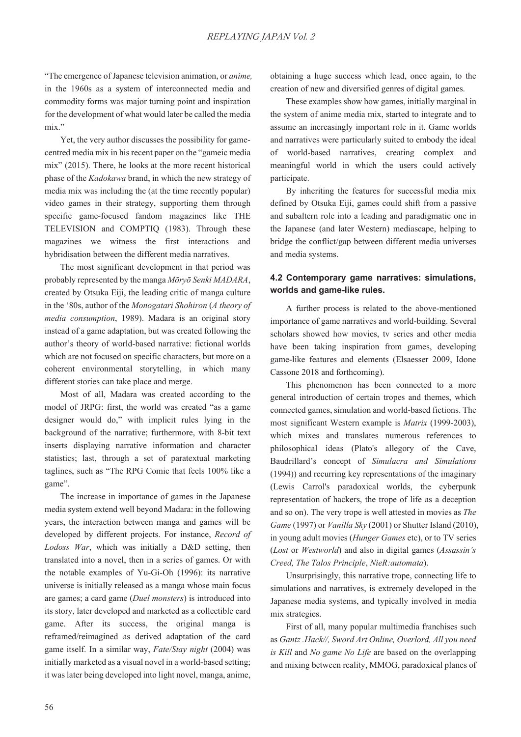"The emergence of Japanese television animation, or *anime,*  in the 1960s as a system of interconnected media and commodity forms was major turning point and inspiration for the development of what would later be called the media mix."

Yet, the very author discusses the possibility for gamecentred media mix in his recent paper on the "gameic media mix" (2015). There, he looks at the more recent historical phase of the *Kadokawa* brand, in which the new strategy of media mix was including the (at the time recently popular) video games in their strategy, supporting them through specific game-focused fandom magazines like THE TELEVISION and COMPTIQ (1983). Through these magazines we witness the first interactions and hybridisation between the different media narratives.

The most significant development in that period was probably represented by the manga *Mōrvō Senki MADARA*, created by Otsuka Eiji, the leading critic of manga culture in the '80s, author of the *Monogatari Shohiron* (*A theory of media consumption*, 1989). Madara is an original story instead of a game adaptation, but was created following the author's theory of world-based narrative: fictional worlds which are not focused on specific characters, but more on a coherent environmental storytelling, in which many different stories can take place and merge.

Most of all, Madara was created according to the model of JRPG: first, the world was created "as a game designer would do," with implicit rules lying in the background of the narrative; furthermore, with 8-bit text inserts displaying narrative information and character statistics; last, through a set of paratextual marketing taglines, such as "The RPG Comic that feels 100% like a game".

The increase in importance of games in the Japanese media system extend well beyond Madara: in the following years, the interaction between manga and games will be developed by different projects. For instance, *Record of Lodoss War*, which was initially a D&D setting, then translated into a novel, then in a series of games. Or with the notable examples of Yu-Gi-Oh (1996): its narrative universe is initially released as a manga whose main focus are games; a card game (*Duel monsters*) is introduced into its story, later developed and marketed as a collectible card game. After its success, the original manga is reframed/reimagined as derived adaptation of the card game itself. In a similar way, *Fate/Stay night* (2004) was initially marketed as a visual novel in a world-based setting; it was later being developed into light novel, manga, anime,

obtaining a huge success which lead, once again, to the creation of new and diversified genres of digital games.

These examples show how games, initially marginal in the system of anime media mix, started to integrate and to assume an increasingly important role in it. Game worlds and narratives were particularly suited to embody the ideal of world-based narratives, creating complex and meaningful world in which the users could actively participate.

By inheriting the features for successful media mix defined by Otsuka Eiji, games could shift from a passive and subaltern role into a leading and paradigmatic one in the Japanese (and later Western) mediascape, helping to bridge the conflict/gap between different media universes and media systems.

### **4.2 Contemporary game narratives: simulations, worlds and game-like rules.**

A further process is related to the above-mentioned importance of game narratives and world-building. Several scholars showed how movies, tv series and other media have been taking inspiration from games, developing game-like features and elements (Elsaesser 2009, Idone Cassone 2018 and forthcoming).

This phenomenon has been connected to a more general introduction of certain tropes and themes, which connected games, simulation and world-based fictions. The most significant Western example is *Matrix* (1999-2003), which mixes and translates numerous references to philosophical ideas (Plato's allegory of the Cave, Baudrillard's concept of *Simulacra and Simulations*  (1994)) and recurring key representations of the imaginary (Lewis Carrol's paradoxical worlds, the cyberpunk representation of hackers, the trope of life as a deception and so on). The very trope is well attested in movies as *The Game* (1997) or *Vanilla Sky* (2001) or Shutter Island (2010), in young adult movies (*Hunger Games* etc), or to TV series (*Lost* or *Westworld*) and also in digital games (*Assassin's Creed, The Talos Principle*, *Nie5:automata*).

Unsurprisingly, this narrative trope, connecting life to simulations and narratives, is extremely developed in the Japanese media systems, and typically involved in media mix strategies.

First of all, many popular multimedia franchises such as *Gantz .Hack//. Sword Art Online, Overlord, All you need is Kill* and *No game No Life* are based on the overlapping and mixing between reality, MMOG, paradoxical planes of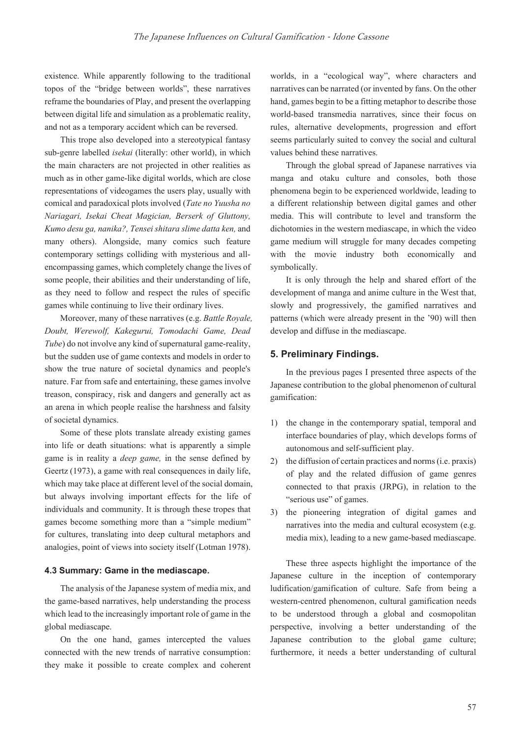existence. While apparently following to the traditional topos of the "bridge between worlds", these narratives reframe the boundaries of Play, and present the overlapping between digital life and simulation as a problematic reality, and not as a temporary accident which can be reversed.

This trope also developed into a stereotypical fantasy sub-genre labelled *isekai* (literally: other world), in which the main characters are not projected in other realities as much as in other game-like digital worlds, which are close representations of videogames the users play, usually with comical and paradoxical plots involved (*Tate no Yuusha no Nariagari, Isekai Cheat Magician, Berserk of Gluttony, Kumo desu ga, nanika?, Tensei shitara slime datta ken,* and many others). Alongside, many comics such feature contemporary settings colliding with mysterious and allencompassing games, which completely change the lives of some people, their abilities and their understanding of life, as they need to follow and respect the rules of specific games while continuing to live their ordinary lives.

Moreover, many of these narratives (e.g. *Battle Royale*, *Doubt, Werewolf, Kakegurui, Tomodachi Game, Dead Tube*) do not involve any kind of supernatural game-reality, but the sudden use of game contexts and models in order to show the true nature of societal dynamics and people's nature. Far from safe and entertaining, these games involve treason, conspiracy, risk and dangers and generally act as an arena in which people realise the harshness and falsity of societal dynamics.

Some of these plots translate already existing games into life or death situations: what is apparently a simple game is in reality a *deep game,* in the sense defined by Geertz (1973), a game with real consequences in daily life, which may take place at different level of the social domain, but always involving important effects for the life of individuals and community. It is through these tropes that games become something more than a "simple medium" for cultures, translating into deep cultural metaphors and analogies, point of views into society itself (Lotman 1978).

#### **4.3 Summary: Game in the mediascape.**

The analysis of the Japanese system of media mix, and the game-based narratives, help understanding the process which lead to the increasingly important role of game in the global mediascape.

On the one hand, games intercepted the values connected with the new trends of narrative consumption: they make it possible to create complex and coherent worlds, in a "ecological way", where characters and narratives can be narrated (or invented by fans. On the other hand, games begin to be a fitting metaphor to describe those world-based transmedia narratives, since their focus on rules, alternative developments, progression and effort seems particularly suited to convey the social and cultural values behind these narratives.

Through the global spread of Japanese narratives via manga and otaku culture and consoles, both those phenomena begin to be experienced worldwide, leading to a different relationship between digital games and other media. This will contribute to level and transform the dichotomies in the western mediascape, in which the video game medium will struggle for many decades competing with the movie industry both economically and symbolically.

It is only through the help and shared effort of the development of manga and anime culture in the West that, slowly and progressively, the gamified narratives and patterns (which were already present in the '90) will then develop and diffuse in the mediascape.

#### **5. Preliminary Findings.**

In the previous pages I presented three aspects of the Japanese contribution to the global phenomenon of cultural gamification:

- 1) the change in the contemporary spatial, temporal and interface boundaries of play, which develops forms of autonomous and self-sufficient play.
- 2) the diffusion of certain practices and norms (i.e. praxis) of play and the related diffusion of game genres connected to that praxis (JRPG), in relation to the "serious use" of games.
- 3) the pioneering integration of digital games and narratives into the media and cultural ecosystem (e.g. media mix), leading to a new game-based mediascape.

These three aspects highlight the importance of the Japanese culture in the inception of contemporary ludification/gamification of culture. Safe from being a western-centred phenomenon, cultural gamification needs to be understood through a global and cosmopolitan perspective, involving a better understanding of the Japanese contribution to the global game culture; furthermore, it needs a better understanding of cultural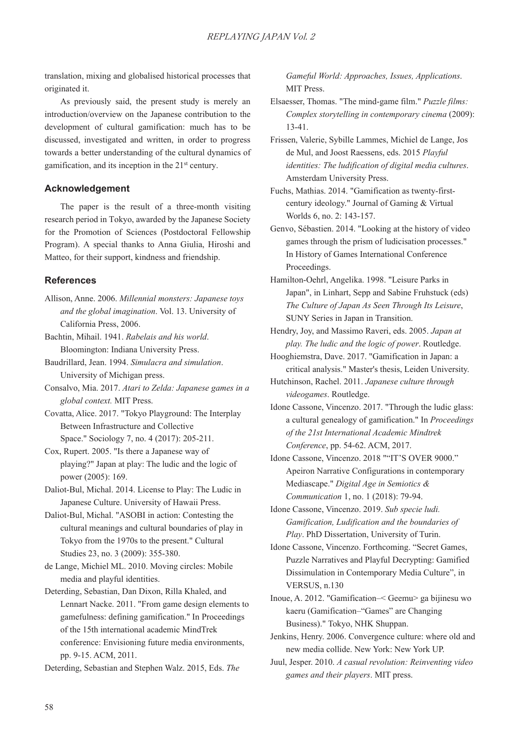translation, mixing and globalised historical processes that originated it.

As previously said, the present study is merely an introduction/overview on the Japanese contribution to the development of cultural gamification: much has to be discussed, investigated and written, in order to progress towards a better understanding of the cultural dynamics of gamification, and its inception in the  $21<sup>st</sup>$  century.

### **Acknowledgement**

The paper is the result of a three-month visiting research period in Tokyo, awarded by the Japanese Society for the Promotion of Sciences (Postdoctoral Fellowship Program). A special thanks to Anna Giulia, Hiroshi and Matteo, for their support, kindness and friendship.

#### **References**

- Allison, Anne. 2006. *Millennial monsters: Japanese toys and the global imagination*. Vol. 13. University of California Press, 2006.
- Bachtin, Mihail. 1941. *Rabelais and his world.* Bloomington: Indiana University Press.
- Baudrillard, Jean. 1994. *Simulacra and simulation*. University of Michigan press.
- Consalvo, Mia. 2017. *Atari to Zelda: Japanese games in a global context.* MIT Press.
- Covatta, Alice. 2017. "Tokyo Playground: The Interplay Between Infrastructure and Collective Space." Sociology 7, no. 4 (2017): 205-211.
- Cox, Rupert. 2005. "Is there a Japanese way of playing?" Japan at play: The ludic and the logic of power (2005): 169.
- Daliot-Bul, Michal. 2014. License to Play: The Ludic in Japanese Culture. University of Hawaii Press.
- Daliot-Bul, Michal. "ASOBI in action: Contesting the cultural meanings and cultural boundaries of play in Tokyo from the 1970s to the present." Cultural Studies 23, no. 3 (2009): 355-380.

de Lange, Michiel ML. 2010. Moving circles: Mobile media and playful identities.

Deterding, Sebastian, Dan Dixon, Rilla Khaled, and Lennart Nacke. 2011. "From game design elements to gamefulness: defining gamification." In Proceedings of the 15th international academic MindTrek conference: Envisioning future media environments, pp. 9-15. ACM, 2011.

Deterding, Sebastian and Stephen Walz. 2015, Eds. *The* 

Gameful World: Approaches, Issues, Applications. MIT Press.

Elsaesser, Thomas. "The mind-game film." *Puzzle films: Complex storytelling in contemporary cinema* (2009): 13-41.

- Frissen, Valerie, Sybille Lammes, Michiel de Lange, Jos de Mul, and Joost Raessens, eds. 2015 *Playful identities: The ludification of digital media cultures*. Amsterdam University Press.
- Fuchs, Mathias. 2014. "Gamification as twenty-firstcentury ideology." Journal of Gaming & Virtual Worlds 6, no. 2: 143-157.
- Genvo, Sébastien. 2014. "Looking at the history of video games through the prism of ludicisation processes." In History of Games International Conference Proceedings.
- Hamilton-Oehrl, Angelika. 1998. "Leisure Parks in Japan", in Linhart, Sepp and Sabine Fruhstuck (eds) The Culture of Japan As Seen Through Its Leisure, SUNY Series in Japan in Transition.
- Hendry, Joy, and Massimo Raveri, eds. 2005. *Japan at play. The ludic and the logic of power*. Routledge.
- Hooghiemstra, Dave. 2017. "Gamification in Japan: a critical analysis." Master's thesis, Leiden University.
- Hutchinson, Rachel. 2011. *Japanese culture through videogames*. Routledge.
- Idone Cassone, Vincenzo. 2017. "Through the ludic glass: a cultural genealogy of gamification." In *Proceedings of the 21st International Academic Mindtrek Conference*, pp. 54-62. ACM, 2017.
- Idone Cassone, Vincenzo. 2018 ""IT'S OVER 9000." Apeiron Narrative Configurations in contemporary Mediascape." *Digital Age in Semiotics & Communication* 1, no. 1 (2018): 79-94.
- Idone Cassone, Vincenzo. 2019. *Sub specie ludi. Gamification, Ludification and the boundaries of Play*. PhD Dissertation, University of Turin.
- Idone Cassone, Vincenzo. Forthcoming. "Secret Games, Puzzle Narratives and Playful Decrypting: Gamified Dissimulation in Contemporary Media Culture", in VERSUS, n.130
- Inoue, A. 2012. "Gamification–< Geemu> ga bijinesu wo kaeru (Gamification–"Games" are Changing Business)." Tokyo, NHK Shuppan.
- Jenkins, Henry. 2006. Convergence culture: where old and new media collide. New York: New York UP.
- Juul, Jesper. 2010. *A casual revolution: Reinventing video games and their players*. MIT press.